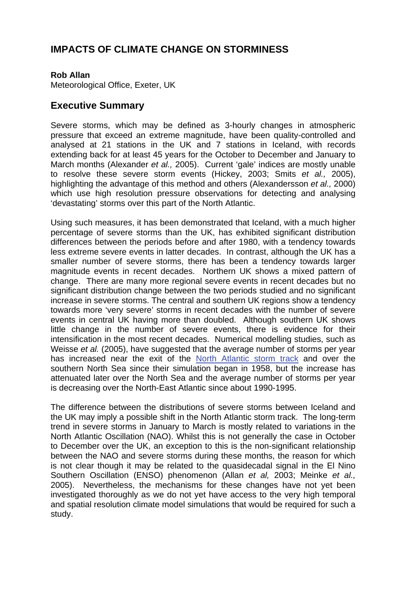## **IMPACTS OF CLIMATE CHANGE ON STORMINESS**

## **Rob Allan**

Meteorological Office, Exeter, UK

## **Executive Summary**

Severe storms, which may be defined as 3-hourly changes in atmospheric pressure that exceed an extreme magnitude, have been quality-controlled and analysed at 21 stations in the UK and 7 stations in Iceland, with records extending back for at least 45 years for the October to December and January to March months (Alexander *et al.,* 2005). Current 'gale' indices are mostly unable to resolve these severe storm events (Hickey, 2003; Smits *et al.,* 2005), highlighting the advantage of this method and others (Alexandersson *et al.,* 2000) which use high resolution pressure observations for detecting and analysing 'devastating' storms over this part of the North Atlantic.

Using such measures, it has been demonstrated that Iceland, with a much higher percentage of severe storms than the UK, has exhibited significant distribution differences between the periods before and after 1980, with a tendency towards less extreme severe events in latter decades. In contrast, although the UK has a smaller number of severe storms, there has been a tendency towards larger magnitude events in recent decades. Northern UK shows a mixed pattern of change. There are many more regional severe events in recent decades but no significant distribution change between the two periods studied and no significant increase in severe storms. The central and southern UK regions show a tendency towards more 'very severe' storms in recent decades with the number of severe events in central UK having more than doubled. Although southern UK shows little change in the number of severe events, there is evidence for their intensification in the most recent decades. Numerical modelling studies, such as Weisse *et al.* (2005), have suggested that the average number of storms per year has increased near the exit of the [North Atlantic storm track](http://www.mccip.org.uk/arc/glossary.htm) and over the southern North Sea since their simulation began in 1958, but the increase has attenuated later over the North Sea and the average number of storms per year is decreasing over the North-East Atlantic since about 1990-1995.

The difference between the distributions of severe storms between Iceland and the UK may imply a possible shift in the North Atlantic storm track. The long-term trend in severe storms in January to March is mostly related to variations in the North Atlantic Oscillation (NAO). Whilst this is not generally the case in October to December over the UK, an exception to this is the non-significant relationship between the NAO and severe storms during these months, the reason for which is not clear though it may be related to the quasidecadal signal in the El Nino Southern Oscillation (ENSO) phenomenon (Allan *et al,* 2003; Meinke *et al.,* 2005). Nevertheless, the mechanisms for these changes have not yet been investigated thoroughly as we do not yet have access to the very high temporal and spatial resolution climate model simulations that would be required for such a study.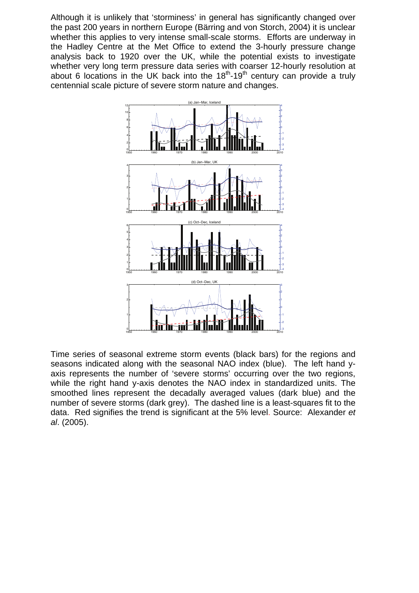Although it is unlikely that 'storminess' in general has significantly changed over the past 200 years in northern Europe (Bärring and von Storch, 2004) it is unclear whether this applies to very intense small-scale storms. Efforts are underway in the Hadley Centre at the Met Office to extend the 3-hourly pressure change analysis back to 1920 over the UK, while the potential exists to investigate whether very long term pressure data series with coarser 12-hourly resolution at about 6 locations in the UK back into the  $18<sup>th</sup>$ -19<sup>th</sup> century can provide a truly centennial scale picture of severe storm nature and changes.



Time series of seasonal extreme storm events (black bars) for the regions and seasons indicated along with the seasonal NAO index (blue). The left hand yaxis represents the number of 'severe storms' occurring over the two regions, while the right hand y-axis denotes the NAO index in standardized units. The smoothed lines represent the decadally averaged values (dark blue) and the number of severe storms (dark grey). The dashed line is a least-squares fit to the data. Red signifies the trend is significant at the 5% level. Source: Alexander *et al*. (2005).